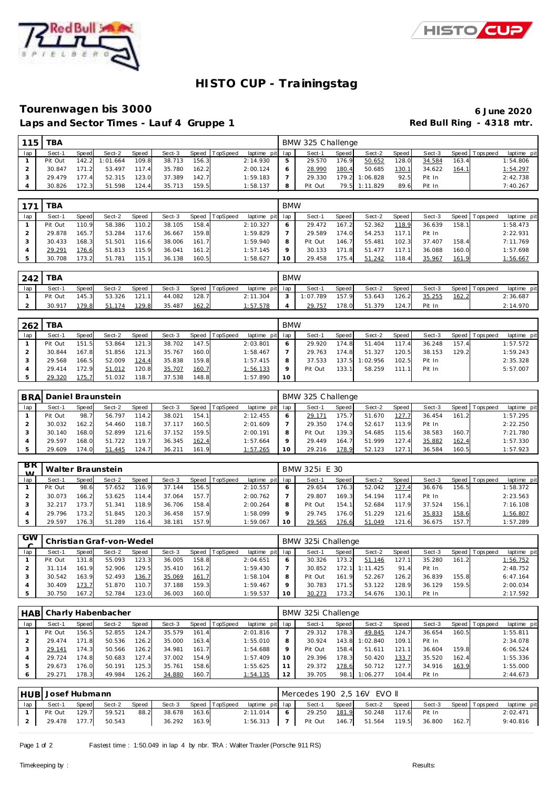



## **HISTO CUP - Trainingstag**

#### **Tourenwagen bis 3000 6 June 2020** Laps and Sector Times - Lauf 4 Gruppe 1 **Red Bull Ring - 4318 mtr.**

| 115 | тва     |       |          |              |        |       |                |                 |   | BMW 325 Challenge |              |          |       |        |       |                 |             |
|-----|---------|-------|----------|--------------|--------|-------|----------------|-----------------|---|-------------------|--------------|----------|-------|--------|-------|-----------------|-------------|
| lap | Sect-1  | Speed | Sect-2   | <b>Speed</b> | Sect-3 |       | Speed TopSpeed | laptime pit lap |   | Sect-1            | <b>Speed</b> | Sect-2   | Speed | Sect-3 |       | Speed Tops peed | laptime pit |
|     | Pit Out | 142.2 | 1:01.664 | 109.8        | 38.713 | 156.3 |                | 2:14.930        | 5 | 29.570            | 176.9        | 50.652   | 128.0 | 34.584 | 163.4 |                 | 1:54.806    |
|     | 30.847  | 171.2 | 53.497   | 117.4        | 35.780 | 162.2 |                | 2:00.124        | O | 28.990            | 180.4        | 50.685   | 130.1 | 34.622 | 164.1 |                 | 1:54.297    |
|     | 29.479  | 177.4 | 52.315   | 123.0        | 37.389 | 142.7 |                | 1:59.183        |   | 29.330            | 179.2        | 1:06.828 | 92.5  | Pit In |       |                 | 2:42.738    |
|     | 30.826  | 172.3 | 51.598   | 124.4        | 35.713 | 159.5 |                | 1:58.137        | 8 | Pit Out           | 79.5         | 1:11.829 | 89.6  | Pit In |       |                 | 7:40.267    |

| 171 | <b>TBA</b> |       |        |       |        |       |                 |             | <b>BMW</b> |         |       |        |       |        |       |             |             |
|-----|------------|-------|--------|-------|--------|-------|-----------------|-------------|------------|---------|-------|--------|-------|--------|-------|-------------|-------------|
| lap | Sect-1     | Speed | Sect-2 | Speed | Sect-3 | Speed | <b>TopSpeed</b> | laptime pit | lap        | Sect-1  | Speed | Sect-2 | Speed | Sect-3 | Speed | T ops pee d | laptime pit |
|     | Pit Out    | 110.9 | 58.386 | 110.2 | 38.105 | 158.4 |                 | 2:10.327    |            | 29.472  | 167.2 | 52.362 | 118.9 | 36.639 | 158.1 |             | 1:58.473    |
|     | 29.878     | 165.7 | 53.284 | 117.6 | 36.667 | 159.8 |                 | 1:59.829    |            | 29.589  | 174.0 | 54.253 | 117.1 | Pit In |       |             | 2:22.931    |
|     | 30.433     | 168.3 | 51.501 | 116.6 | 38.006 | 161.7 |                 | 1:59.940    | 8          | Pit Out | 146.7 | 55.481 | 102.3 | 37.407 | 158.4 |             | 7:11.769    |
|     | 29.291     | '76.6 | 51.813 | 115.9 | 36.041 | 161.2 |                 | 1:57.145    |            | 30.133  | 171.8 | 51.477 | 117.1 | 36.088 | 160.0 |             | 1:57.698    |
|     | 30.708     | 173.2 | 51.781 | 115.1 | 36.138 | 160.5 |                 | 1:58.627    |            | 29.458  | 175.4 | 51.242 | 118.4 | 35.967 | 161.9 |             | 1:56.667    |

| 242 | тва     |              |        |       |        |       |          |                 | <b>BMW</b> |         |              |        |         |        |       |                   |                |
|-----|---------|--------------|--------|-------|--------|-------|----------|-----------------|------------|---------|--------------|--------|---------|--------|-------|-------------------|----------------|
| lap | Sect-1  | <b>Speed</b> | Sect-2 | Speed | Sect-3 | Speed | TopSpeed | laptime pit lap |            | Sect-1  | <b>Speed</b> | Sect-2 | Speed ! | Sect-3 |       | Speed   Tops peed | laptime<br>pit |
|     | Pit Out | 145.3        | 53.326 | 121.1 | 44.082 | 128.7 |          | 2:11.304        |            | :07.789 | 157<br>ി     | 53.643 | 126.2   | 35.255 | 162.2 |                   | 2:36.687       |
|     | 30.917  | 179.8        | 51.174 | 129.8 | 35.487 | 162.2 |          | 1:57.578        |            | 29.757  | 178.0        | 51.379 | 124.7   | Pit In |       |                   | 2:14.970       |

| 262 | TBA     |       |        |       |        |       |          |                 | <b>BMW</b> |         |       |          |       |        |       |                |             |
|-----|---------|-------|--------|-------|--------|-------|----------|-----------------|------------|---------|-------|----------|-------|--------|-------|----------------|-------------|
| lap | Sect-1  | Speed | Sect-2 | Speed | Sect-3 | Speed | TopSpeed | laptime pit lap |            | Sect-1  | Speed | Sect-2   | Speed | Sect-3 |       | Speed Topspeed | laptime pit |
|     | Pit Out | 151.5 | 53.864 | 121.3 | 38.702 | 147.5 |          | 2:03.801        |            | 29.920  | 174.8 | 51.404   | 117.4 | 36.248 | 157.4 |                | 1:57.572    |
|     | 30.844  | 167.8 | 51.856 | 121.3 | 35.767 | 160.0 |          | 1:58.467        |            | 29.763  | 174.8 | 51.327   | 120.5 | 38.153 | 129.2 |                | 1:59.243    |
|     | 29.568  | 166.5 | 52.009 | 124.4 | 35.838 | 159.8 |          | 1:57.415        |            | 37.533  | 137.5 | 1:02.956 | 102.5 | Pit In |       |                | 2:35.328    |
|     | 29.414  | 172.9 | 51.012 | 120.8 | 35.707 | 160.7 |          | 1:56.133        |            | Pit Out | 133.1 | 58.259   | -11   | Pit In |       |                | 5:57.007    |
|     | 29.320  | 175.7 | 51.032 | 118.7 | 37.538 | 148.8 |          | 1:57.890        | 10         |         |       |          |       |        |       |                |             |

|     | ' BRAI Daniel Braunstein |       |        |       |        |       |                |                 |    | BMW 325 Challenge |       |        |       |        |       |                   |             |
|-----|--------------------------|-------|--------|-------|--------|-------|----------------|-----------------|----|-------------------|-------|--------|-------|--------|-------|-------------------|-------------|
| lap | Sect-1                   | Speed | Sect-2 | Speed | Sect-3 |       | Speed TopSpeed | laptime pit lap |    | Sect-1            | Speed | Sect-2 | Speed | Sect-3 |       | Speed   Tops peed | laptime pit |
|     | Pit Out                  | 98.7  | 56.797 | 114.2 | 38.021 | 154.1 |                | 2:12.455        |    | 29.171            | 175.7 | 51.670 | 127.7 | 36.454 | 161.2 |                   | 1:57.295    |
|     | 30.032                   | 162.2 | 54.460 | 118.7 | 37.117 | 160.5 |                | 2:01.609        |    | 29.350            | 174.0 | 52.617 | 113.9 | Pit In |       |                   | 2:22.250    |
|     | 30.140                   | 168.0 | 52.899 | 121.6 | 37.152 | 159.5 |                | 2:00.191        |    | Pit Out           | 139.3 | 54.685 | 115.6 | 38.583 | 160.7 |                   | 7:21.780    |
|     | 29.597                   | 168.0 | 51.722 | 119.7 | 36.345 | 162.4 |                | 1:57.664        |    | 29.449            | 164.7 | 51.999 | 127.4 | 35.882 | 162.4 |                   | 1:57.330    |
|     | 29.609                   | 174.0 | 51.445 | 124.7 | 36.211 | 161.9 |                | 1:57.265        | 10 | 29.216            | 178.9 | 52.123 | 127.1 | 36.584 | 160.5 |                   | 1:57.923    |

| $_{\rm BR}$<br>$\lambda$ |         |       | Walter Braunstein |       |        |       |                |             |         | BMW 325i E 30 |       |        |                 |        |         |            |             |
|--------------------------|---------|-------|-------------------|-------|--------|-------|----------------|-------------|---------|---------------|-------|--------|-----------------|--------|---------|------------|-------------|
| lap                      | Sect-1  | Speed | Sect-2            | Speed | Sect-3 |       | Speed TopSpeed | laptime pit | lap     | Sect-1        | Speed | Sect-2 | Speed           | Sect-3 | Speed I | T ops peed | laptime pit |
|                          | Pit Out | 98.6  | 57.652            | 116.9 | 37.144 | 156.5 |                | 2:10.557    | O       | 29.654        | 176.3 | 52.042 | 127             | 36.676 | 156.5   |            | 1:58.372    |
|                          | 30.073  | 166.2 | 53.625            | 114.4 | 37.064 | 157.7 |                | 2:00.762    |         | 29.807        | 169.3 | 54.194 | 117<br>$\Delta$ | Pit In |         |            | 2:23.563    |
|                          | 32.217  | 173.7 | 51.341            | 118.9 | 36.706 | 158.4 |                | 2:00.264    | 8       | Pit Out       | 154.1 | 52.684 | 117.9           | 37.524 | 156.1   |            | 7:16.108    |
|                          | 29.796  | 173.2 | 51.845            | 120.3 | 36.458 | 157.9 |                | 1:58.099    | $\circ$ | 29.745        | 176.0 | 51.229 | 121.6           | 35.833 | 158.6   |            | 1:56.807    |
|                          | 29.597  | 176.3 | 51.289            | 116.4 | 38.181 | 157.9 |                | 1:59.067    | 10      | 29.565        | 176.6 | 51.049 | 121.6           | 36.675 | 157.7   |            | 1:57.289    |

| <b>GW</b> |         |       | Christian Graf-von-Wedel |              |        |       |          |                 |    | BMW 325i Challenge |       |              |       |        |         |            |             |
|-----------|---------|-------|--------------------------|--------------|--------|-------|----------|-----------------|----|--------------------|-------|--------------|-------|--------|---------|------------|-------------|
| lap       | Sect-1  | Speed | Sect-2                   | <b>Speed</b> | Sect-3 | Speed | TopSpeed | laptime pit lap |    | Sect-1             | Speed | Sect-2       | Speed | Sect-3 | Speed I | T ops peed | laptime pit |
|           | Pit Out | 131.8 | 55.093                   | 123.3        | 36.005 | 158.8 |          | 2:04.651        |    | 30.326             | 173.2 | 51.146       | 127.1 | 35.280 | 161.2   |            | 1:56.752    |
|           | 31.114  | 161   | 52.906                   | 129.5        | 35.410 | 161.2 |          | 1:59.430        |    | 30.852             | 172.  | .425<br>1:11 | 91.4  | Pit In |         |            | 2:48.752    |
|           | 30.542  | 163.9 | 52.493                   | 136.7        | 35.069 | 161.7 |          | 1:58.104        | 8  | Pit Out            | 161.9 | 52.267       | 126.2 | 36.839 | 155.8   |            | 6:47.164    |
|           | 30.409  | 173.7 | 51.870                   | 110.7        | 37.188 | 159.3 |          | 1:59.467        |    | 30.783             | 171.5 | 53.122       | 128.9 | 36.129 | 159.5   |            | 2:00.034    |
|           | 30.750  | 167.2 | 52.784                   | 123.0        | 36.003 | 160.0 |          | 1:59.537        | 10 | 30.273             | 173.2 | 54.676       | 130.1 | Pit In |         |            | 2:17.592    |

|     | HABI Charly Habenbacher |       |        |       |        |       |                  |                 |         | BMW 325i Challenge |       |          |       |        |         |             |             |
|-----|-------------------------|-------|--------|-------|--------|-------|------------------|-----------------|---------|--------------------|-------|----------|-------|--------|---------|-------------|-------------|
| lap | Sect-1                  | Speed | Sect-2 | Speed | Sect-3 |       | Speed   TopSpeed | laptime pit lap |         | Sect-1             | Speed | Sect-2   | Speed | Sect-3 | Speed I | T ops pee d | laptime pit |
|     | Pit Out                 | 156.5 | 52.855 | 124.7 | 35.579 | 161.4 |                  | 2:01.816        |         | 29.312             | 178.3 | 49.845   | 124.  | 36.654 | 160.5   |             | 1:55.811    |
|     | 29.474                  | 171.8 | 50.536 | 126.2 | 35.000 | 163.4 |                  | 1:55.010        | 8       | 30.924             | 143.8 | 1:02.840 | 109.1 | Pit In |         |             | 2:34.078    |
|     | 29.141                  | 174.3 | 50.566 | 126.2 | 34.981 | 161.7 |                  | 1:54.688        | $\circ$ | Pit Out            | 158.4 | 51.611   | 121   | 36.604 | 159.8   |             | 6:06.524    |
|     | 29.724                  | 174.8 | 50.683 | 127.4 | 37.002 | 154.9 |                  | 1:57.409        | 10      | 29.396             | 178.3 | 50.420   | 133.7 | 35.520 | 162.4   |             | 1:55.336    |
|     | 29.673                  | 176.0 | 50.191 | 125.3 | 35.761 | 158.6 |                  | 1:55.625        |         | 29.372             | 178.6 | 50.712   | 127   | 34.916 | 163.9   |             | 1:55.000    |
|     | 29.271                  | 178.3 | 49.984 | 126.2 | 34.880 | 160.7 |                  | 1:54.135        | 12      | 39.705             | 98.   | 1:06.277 | 104.4 | Pit In |         |             | 2:44.673    |

|     | HUB Josef Hubmann |       |        |       |        |       |                       |                 | Mercedes 190 2.5 16V EVO II |       |              |       |        |       |                   |             |
|-----|-------------------|-------|--------|-------|--------|-------|-----------------------|-----------------|-----------------------------|-------|--------------|-------|--------|-------|-------------------|-------------|
| lap | Sect-1            | Speed | Sect-2 | Speed |        |       | Sect-3 Speed TopSpeed | laptime pit lap | Sect-1                      | Speed | Sect-2 Speed |       | Sect-3 |       | Speed   Tops peed | laptime pit |
|     | Pit Out           | 129.7 | 59.521 | 88.2  | 38.678 | 163.6 |                       | 2:11.014        | 29.250                      | 181.9 | 50.248       | 117.6 | Pit In |       |                   | 2:02.471    |
|     | 29.478 177.7      |       | 50.543 |       | 36.292 | 163.9 |                       | $1:56.313$   7  | Pit Out 146.7 51.564        |       |              | 119.5 | 36.800 | 162.7 |                   | 9:40.816    |